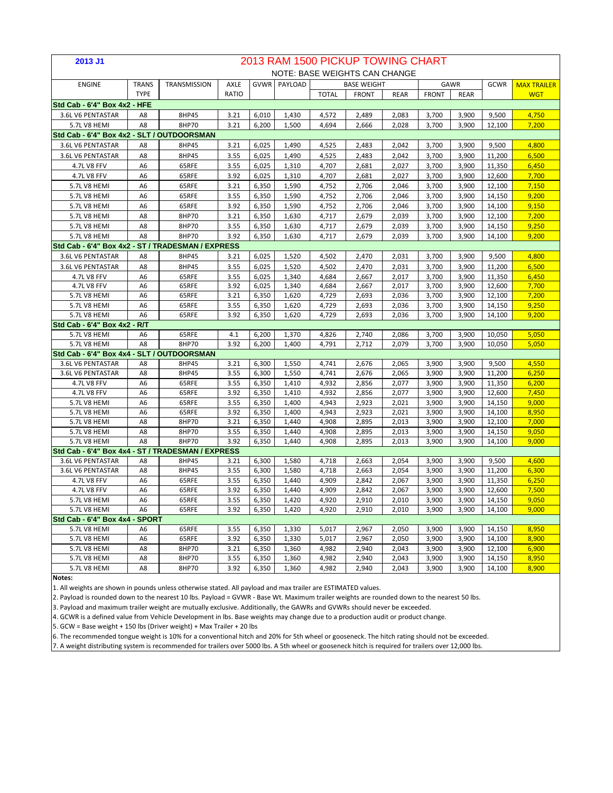| 2013 J1                                           |                                  |                |              |                |                     |                | 2013 RAM 1500 PICKUP TOWING CHART |                |                |                |                  |                    |
|---------------------------------------------------|----------------------------------|----------------|--------------|----------------|---------------------|----------------|-----------------------------------|----------------|----------------|----------------|------------------|--------------------|
|                                                   |                                  |                |              |                |                     |                | NOTE: BASE WEIGHTS CAN CHANGE     |                |                |                |                  |                    |
| <b>ENGINE</b>                                     | <b>TRANS</b>                     | TRANSMISSION   | AXLE         |                | <b>GVWR</b> PAYLOAD |                | <b>BASE WEIGHT</b>                |                |                | GAWR           | GCWR             | <b>MAX TRAILER</b> |
|                                                   | <b>TYPE</b>                      |                | RATIO        |                |                     | <b>TOTAL</b>   | <b>FRONT</b>                      | <b>REAR</b>    | <b>FRONT</b>   | <b>REAR</b>    |                  | <b>WGT</b>         |
| Std Cab - 6'4" Box 4x2 - HFE                      |                                  |                |              |                |                     |                |                                   |                |                |                |                  |                    |
| 3.6L V6 PENTASTAR                                 | A8                               | 8HP45          | 3.21         | 6,010          | 1,430               | 4,572          | 2,489                             | 2,083          | 3,700          | 3,900          | 9,500            | 4,750              |
| 5.7L V8 HEMI                                      | A8                               | 8HP70          | 3.21         | 6,200          | 1,500               | 4,694          | 2,666                             | 2,028          | 3,700          | 3,900          | 12,100           | 7,200              |
| Std Cab - 6'4" Box 4x2 - SLT / OUTDOORSMAN        |                                  |                |              |                |                     |                |                                   |                |                |                |                  |                    |
| 3.6L V6 PENTASTAR                                 | A8                               | 8HP45          | 3.21         | 6,025          | 1,490               | 4,525          | 2,483                             | 2,042          | 3,700          | 3,900          | 9,500            | 4,800              |
| 3.6L V6 PENTASTAR                                 | A8                               | 8HP45          | 3.55         | 6,025          | 1,490               | 4,525          | 2,483                             | 2,042          | 3,700          | 3,900          | 11,200           | 6,500              |
| 4.7L V8 FFV                                       | A6                               | 65RFE          | 3.55         | 6,025          | 1,310               | 4,707          | 2,681                             | 2,027          | 3,700          | 3,900          | 11,350           | 6,450              |
| 4.7L V8 FFV                                       | A6                               | 65RFE          | 3.92         | 6,025          | 1,310               | 4,707          | 2,681                             | 2,027          | 3,700          | 3,900          | 12,600           | 7,700              |
| 5.7L V8 HEMI                                      | A6                               | 65RFE          | 3.21         | 6,350          | 1,590               | 4,752          | 2,706                             | 2,046          | 3,700          | 3,900          | 12,100           | 7,150              |
| 5.7L V8 HEMI                                      | A6                               | 65RFE          | 3.55         | 6,350          | 1,590               | 4,752          | 2,706                             | 2,046          | 3,700          | 3,900          | 14,150           | 9,200              |
| 5.7L V8 HEMI                                      | A6                               | 65RFE          | 3.92         | 6,350          | 1,590               | 4,752          | 2,706                             | 2,046          | 3,700          | 3,900          | 14,100           | 9,150              |
| 5.7L V8 HEMI                                      | A8                               | 8HP70          | 3.21         | 6,350          | 1,630               | 4,717          | 2,679                             | 2,039          | 3,700          | 3,900          | 12,100           | 7,200              |
| 5.7L V8 HEMI                                      | A8                               | 8HP70          | 3.55         | 6,350          | 1,630               | 4,717          | 2,679                             | 2,039          | 3,700          | 3,900          | 14,150           | 9,250              |
| 5.7L V8 HEMI                                      | A8                               | 8HP70          | 3.92         | 6,350          | 1,630               | 4,717          | 2,679                             | 2,039          | 3,700          | 3,900          | 14,100           | 9,200              |
| Std Cab - 6'4" Box 4x2 - ST / TRADESMAN / EXPRESS |                                  |                |              |                |                     |                |                                   |                |                |                |                  |                    |
| 3.6L V6 PENTASTAR                                 | A8                               | 8HP45          | 3.21         | 6,025          | 1,520               | 4,502          | 2,470                             | 2,031          | 3,700          | 3,900          | 9,500            | 4,800              |
| 3.6L V6 PENTASTAR                                 | A8                               | 8HP45          | 3.55         | 6,025          | 1,520               | 4,502          | 2,470                             | 2,031          | 3,700          | 3,900          | 11,200           | 6,500              |
| 4.7L V8 FFV                                       | A6                               | 65RFE          | 3.55         | 6,025          | 1,340               | 4,684          | 2,667                             | 2,017          | 3,700          | 3,900          | 11,350           | 6,450              |
| 4.7L V8 FFV                                       | A6                               | 65RFE          | 3.92         | 6,025          | 1,340               | 4,684          | 2,667                             | 2,017          | 3,700          | 3,900          | 12,600           | 7,700              |
| 5.7L V8 HEMI                                      | A6                               | 65RFE          | 3.21         | 6,350          | 1,620               | 4,729          | 2,693                             | 2,036          | 3,700          | 3,900          | 12,100           | 7,200              |
| 5.7L V8 HEMI                                      | A6                               | 65RFE          | 3.55         | 6,350          | 1,620               | 4,729          | 2,693                             | 2,036          | 3,700          | 3,900          | 14,150           | 9,250              |
| 5.7L V8 HEMI                                      | A <sub>6</sub>                   | 65RFE          | 3.92         | 6,350          | 1,620               | 4,729          | 2,693                             | 2,036          | 3,700          | 3,900          | 14,100           | 9,200              |
| Std Cab - 6'4" Box 4x2 - R/T                      |                                  |                |              |                |                     |                |                                   |                |                |                |                  |                    |
| 5.7L V8 HEMI                                      | A6                               | 65RFE          | 4.1          | 6,200          | 1,370               | 4,826          | 2,740                             | 2,086          | 3,700          | 3,900          | 10,050           | 5,050              |
| 5.7L V8 HEMI                                      | A8                               | 8HP70          | 3.92         | 6,200          | 1,400               | 4,791          | 2,712                             | 2,079          | 3,700          | 3,900          | 10,050           | 5,050              |
| Std Cab - 6'4" Box 4x4 - SLT / OUTDOORSMAN        |                                  |                |              |                |                     |                |                                   |                |                |                |                  |                    |
| 3.6L V6 PENTASTAR                                 | A8                               | 8HP45          | 3.21         | 6,300          | 1,550               | 4,741          | 2,676                             | 2,065          | 3,900          | 3,900          | 9,500            | 4,550              |
| 3.6L V6 PENTASTAR                                 | A8                               | 8HP45          | 3.55         | 6,300          | 1,550               | 4,741          | 2,676                             | 2,065          | 3,900          | 3,900          | 11,200           | 6,250              |
| 4.7L V8 FFV                                       | A <sub>6</sub>                   | 65RFE          | 3.55         | 6,350          | 1,410               | 4,932          | 2,856                             | 2,077          | 3,900          | 3,900          | 11,350           | 6,200              |
| 4.7L V8 FFV                                       | A6                               | 65RFE          | 3.92         | 6,350          | 1,410               | 4,932          | 2,856                             | 2,077          | 3,900          | 3,900          | 12,600           | 7,450              |
| 5.7L V8 HEMI                                      | A <sub>6</sub><br>A <sub>6</sub> | 65RFE          | 3.55         | 6,350          | 1,400               | 4,943          | 2,923                             | 2,021          | 3,900          | 3,900          | 14,150           | 9,000              |
| 5.7L V8 HEMI<br>5.7L V8 HEMI                      | A8                               | 65RFE<br>8HP70 | 3.92<br>3.21 | 6,350<br>6,350 | 1,400<br>1,440      | 4,943<br>4,908 | 2,923<br>2,895                    | 2,021<br>2,013 | 3,900<br>3,900 | 3,900<br>3,900 | 14,100<br>12,100 | 8,950<br>7,000     |
| 5.7L V8 HEMI                                      | A8                               | 8HP70          | 3.55         | 6,350          | 1,440               | 4,908          | 2,895                             | 2,013          | 3,900          | 3,900          | 14,150           | 9,050              |
| 5.7L V8 HEMI                                      | A8                               | 8HP70          | 3.92         | 6,350          | 1,440               | 4,908          | 2,895                             | 2,013          | 3,900          | 3,900          | 14,100           | 9,000              |
| Std Cab - 6'4" Box 4x4 - ST / TRADESMAN / EXPRESS |                                  |                |              |                |                     |                |                                   |                |                |                |                  |                    |
| 3.6L V6 PENTASTAR                                 | A8                               | 8HP45          | 3.21         | 6,300          | 1,580               | 4,718          | 2,663                             | 2,054          | 3,900          | 3,900          | 9,500            | 4,600              |
| 3.6L V6 PENTASTAR                                 | A8                               | 8HP45          | 3.55         | 6,300          | 1,580               | 4,718          | 2,663                             | 2,054          | 3,900          | 3,900          | 11,200           | 6,300              |
| 4.7L V8 FFV                                       | A <sub>6</sub>                   | 65RFE          | 3.55         | 6,350          | 1,440               | 4,909          | 2,842                             | 2,067          | 3,900          | 3,900          | 11,350           | 6,250              |
| <b>4.7L V8 FFV</b>                                | A <sub>6</sub>                   | 65RFE          | 3.92         | 6,350          | 1,440               | 4,909          | 2,842                             | 2,067          | 3,900          | 3,900          | 12,600           | 7,500              |
| 5.7L V8 HEMI                                      | A6                               | 65RFE          | 3.55         | 6,350          | 1,420               | 4,920          | 2,910                             | 2,010          | 3,900          | 3,900          | 14,150           | 9.050              |
| 5.7L V8 HEMI                                      | A6                               | 65RFE          | 3.92         | 6,350          | 1,420               | 4,920          | 2,910                             | 2,010          | 3,900          | 3,900          | 14,100           | 9,000              |
| Std Cab - 6'4" Box 4x4 - SPORT                    |                                  |                |              |                |                     |                |                                   |                |                |                |                  |                    |
| 5.7L V8 HEMI                                      | A <sub>6</sub>                   | 65RFE          | 3.55         | 6,350          | 1,330               | 5,017          | 2,967                             | 2,050          | 3,900          | 3,900          | 14,150           | 8,950              |
| 5.7L V8 HEMI                                      | A6                               | 65RFE          | 3.92         | 6,350          | 1,330               | 5,017          | 2,967                             | 2,050          | 3,900          | 3,900          | 14,100           | 8,900              |
| 5.7L V8 HEMI                                      | A8                               | 8HP70          | 3.21         | 6,350          | 1,360               | 4,982          | 2,940                             | 2,043          | 3,900          | 3,900          | 12,100           | 6,900              |
| 5.7L V8 HEMI                                      | A8                               | 8HP70          | 3.55         | 6,350          | 1,360               | 4,982          | 2,940                             | 2,043          | 3,900          | 3,900          | 14,150           | 8,950              |
| 5.7L V8 HEMI                                      | A8                               | 8HP70          | 3.92         | 6,350          | 1,360               | 4,982          | 2,940                             | 2,043          | 3,900          | 3,900          | 14,100           | 8,900              |
| Notes:                                            |                                  |                |              |                |                     |                |                                   |                |                |                |                  |                    |

1. All weights are shown in pounds unless otherwise stated. All payload and max trailer are ESTIMATED values.

2. Payload is rounded down to the nearest 10 lbs. Payload = GVWR - Base Wt. Maximum trailer weights are rounded down to the nearest 50 lbs.

3. Payload and maximum trailer weight are mutually exclusive. Additionally, the GAWRs and GVWRs should never be exceeded.

4. GCWR is a defined value from Vehicle Development in lbs. Base weights may change due to a production audit or product change.

5. GCW = Base weight + 150 lbs (Driver weight) + Max Trailer + 20 lbs

6. The recommended tongue weight is 10% for a conventional hitch and 20% for 5th wheel or gooseneck. The hitch rating should not be exceeded.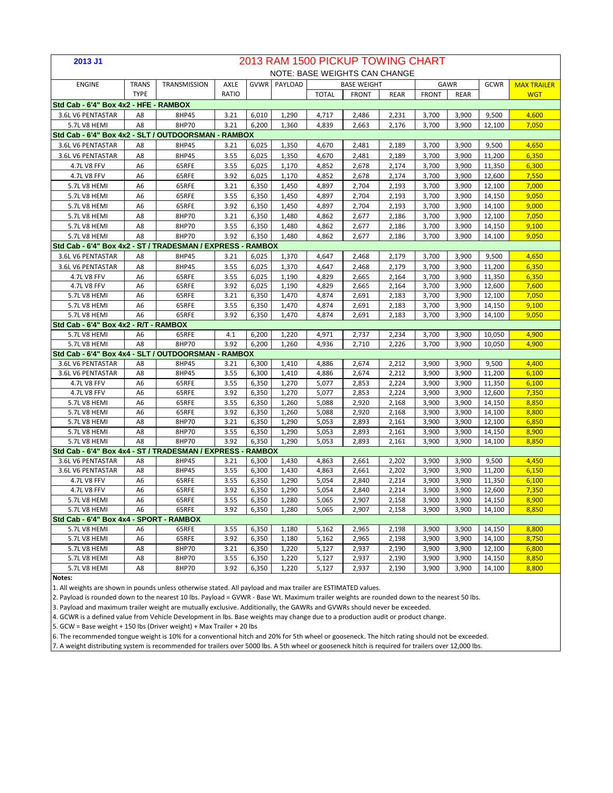| 2013 J1                                                    |                |                |              |                |                |                | 2013 RAM 1500 PICKUP TOWING CHART |                |                |                |                  |                    |
|------------------------------------------------------------|----------------|----------------|--------------|----------------|----------------|----------------|-----------------------------------|----------------|----------------|----------------|------------------|--------------------|
|                                                            |                |                |              |                |                |                | NOTE: BASE WEIGHTS CAN CHANGE     |                |                |                |                  |                    |
| <b>ENGINE</b>                                              | <b>TRANS</b>   | TRANSMISSION   | AXLE         |                | GVWR PAYLOAD   |                | <b>BASE WEIGHT</b>                |                |                | GAWR           | GCWR             | <b>MAX TRAILER</b> |
|                                                            | <b>TYPE</b>    |                | RATIO        |                |                | <b>TOTAL</b>   | <b>FRONT</b>                      | <b>REAR</b>    | <b>FRONT</b>   | <b>REAR</b>    |                  | <b>WGT</b>         |
| Std Cab - 6'4" Box 4x2 - HFE - RAMBOX                      |                |                |              |                |                |                |                                   |                |                |                |                  |                    |
| 3.6L V6 PENTASTAR                                          | A8             | 8HP45          | 3.21         | 6,010          | 1,290          | 4,717          | 2,486                             | 2,231          | 3,700          | 3,900          | 9,500            | 4,600              |
| 5.7L V8 HEMI                                               | A8             | 8HP70          | 3.21         | 6,200          | 1,360          | 4,839          | 2,663                             | 2,176          | 3,700          | 3,900          | 12,100           | 7,050              |
| Std Cab - 6'4" Box 4x2 - SLT / OUTDOORSMAN - RAMBOX        |                |                |              |                |                |                |                                   |                |                |                |                  |                    |
| 3.6L V6 PENTASTAR                                          | A8             | 8HP45          | 3.21         | 6,025          | 1,350          | 4,670          | 2,481                             | 2,189          | 3,700          | 3,900          | 9,500            | 4,650              |
| 3.6L V6 PENTASTAR                                          | A8             | 8HP45          | 3.55         | 6,025          | 1,350          | 4,670          | 2,481                             | 2,189          | 3,700          | 3,900          | 11,200           | 6,350              |
| 4.7L V8 FFV                                                | A6             | 65RFE          | 3.55         | 6,025          | 1,170          | 4,852          | 2,678                             | 2,174          | 3,700          | 3,900          | 11,350           | 6,300              |
| 4.7L V8 FFV                                                | A6             | 65RFE          | 3.92         | 6,025          | 1,170          | 4,852          | 2,678                             | 2,174          | 3,700          | 3,900          | 12,600           | 7,550              |
| 5.7L V8 HEMI                                               | A6             | 65RFE          | 3.21         | 6,350          | 1,450          | 4,897          | 2,704                             | 2,193          | 3,700          | 3,900          | 12,100           | 7,000              |
| 5.7L V8 HEMI                                               | A6             | 65RFE          | 3.55         | 6,350          | 1,450          | 4,897          | 2,704                             | 2,193          | 3,700          | 3,900          | 14,150           | 9,050              |
| 5.7L V8 HEMI                                               | A6             | 65RFE          | 3.92         | 6,350          | 1,450          | 4,897          | 2,704                             | 2,193          | 3,700          | 3,900          | 14,100           | 9,000              |
| 5.7L V8 HEMI                                               | A8             | 8HP70          | 3.21         | 6,350          | 1,480          | 4,862          | 2,677                             | 2,186          | 3,700          | 3,900          | 12,100           | 7,050              |
| 5.7L V8 HEMI                                               | A8             | 8HP70          | 3.55         | 6,350          | 1,480          | 4,862          | 2,677                             | 2,186          | 3,700          | 3,900          | 14,150           | 9,100              |
| 5.7L V8 HEMI                                               | A8             | 8HP70          | 3.92         | 6,350          | 1,480          | 4,862          | 2,677                             | 2,186          | 3,700          | 3,900          | 14,100           | 9,050              |
| Std Cab - 6'4" Box 4x2 - ST / TRADESMAN / EXPRESS - RAMBOX |                |                |              |                |                |                |                                   |                |                |                |                  |                    |
| 3.6L V6 PENTASTAR                                          | A8             | 8HP45          | 3.21         | 6,025          | 1,370          | 4,647          | 2,468                             | 2,179          | 3,700          | 3,900          | 9,500            | 4,650              |
| 3.6L V6 PENTASTAR                                          | A8             | 8HP45          | 3.55         | 6,025          | 1,370          | 4,647          | 2,468                             | 2,179          | 3,700          | 3,900          | 11,200           | 6,350              |
| <b>4.7L V8 FFV</b>                                         | A <sub>6</sub> | 65RFE          | 3.55         | 6,025          | 1,190          | 4,829          | 2,665                             | 2,164          | 3,700          | 3,900          | 11,350           | 6,350              |
| 4.7L V8 FFV                                                | A <sub>6</sub> | 65RFE          | 3.92         | 6,025          | 1,190          | 4,829          | 2,665                             | 2,164          | 3,700          | 3,900          | 12,600           | 7,600              |
| 5.7L V8 HEMI                                               | A6             | 65RFE          | 3.21         | 6,350          | 1,470          | 4,874          | 2,691                             | 2,183          | 3,700          | 3,900          | 12,100           | 7,050              |
| 5.7L V8 HEMI                                               | A6             | 65RFE          | 3.55         | 6,350          | 1,470          | 4,874          | 2,691                             | 2,183          | 3,700          | 3,900          | 14,150           | 9,100              |
| 5.7L V8 HEMI                                               | A <sub>6</sub> | 65RFE          | 3.92         | 6,350          | 1,470          | 4,874          | 2,691                             | 2,183          | 3,700          | 3,900          | 14,100           | 9,050              |
| Std Cab - 6'4" Box 4x2 - R/T - RAMBOX                      |                |                |              |                |                |                |                                   |                |                |                |                  |                    |
| 5.7L V8 HEMI                                               | A6             | 65RFE          | 4.1          | 6,200          | 1,220          | 4,971          | 2,737                             | 2,234          | 3,700          | 3,900          | 10,050           | 4,900              |
| 5.7L V8 HEMI                                               | A8             | 8HP70          | 3.92         | 6,200          | 1,260          | 4,936          | 2,710                             | 2,226          | 3,700          | 3,900          | 10,050           | 4,900              |
| Std Cab - 6'4" Box 4x4 - SLT / OUTDOORSMAN                 |                |                | - RAMBOX     |                |                |                |                                   |                |                |                |                  |                    |
| 3.6L V6 PENTASTAR                                          | A8             | 8HP45          | 3.21         | 6,300          | 1,410          | 4,886          | 2,674                             | 2,212          | 3,900          | 3,900          | 9,500            | 4,400              |
| 3.6L V6 PENTASTAR                                          | A8             | 8HP45          | 3.55         | 6,300          | 1,410          | 4,886          | 2,674                             | 2,212          | 3,900          | 3,900          | 11,200           | 6,100              |
| 4.7L V8 FFV                                                | A <sub>6</sub> | 65RFE          | 3.55         | 6,350          | 1,270          | 5,077          | 2,853                             | 2,224          | 3,900          | 3,900          | 11,350           | 6,100              |
| 4.7L V8 FFV                                                | A <sub>6</sub> | 65RFE          | 3.92         | 6,350          | 1,270          | 5,077          | 2,853                             | 2,224          | 3,900          | 3,900          | 12,600           | 7,350              |
| 5.7L V8 HEMI                                               | A <sub>6</sub> | 65RFE          | 3.55         | 6,350          | 1,260          | 5,088          | 2,920                             | 2,168          | 3,900          | 3,900          | 14,150           | 8,850              |
| 5.7L V8 HEMI                                               | A <sub>6</sub> | 65RFE          | 3.92         | 6,350          | 1,260          | 5,088          | 2,920                             | 2,168          | 3,900          | 3,900          | 14,100           | 8,800              |
| 5.7L V8 HEMI<br>5.7L V8 HEMI                               | A8<br>A8       | 8HP70<br>8HP70 | 3.21<br>3.55 | 6,350          | 1,290          | 5,053          | 2,893                             | 2,161          | 3,900<br>3,900 | 3,900<br>3,900 | 12,100           | 6,850              |
| 5.7L V8 HEMI                                               | A8             | 8HP70          | 3.92         | 6,350<br>6,350 | 1,290<br>1,290 | 5,053<br>5,053 | 2,893<br>2,893                    | 2,161<br>2,161 | 3,900          | 3,900          | 14,150<br>14,100 | 8,900<br>8,850     |
| Std Cab - 6'4" Box 4x4 - ST / TRADESMAN / EXPRESS -        |                |                |              | <b>RAMBOX</b>  |                |                |                                   |                |                |                |                  |                    |
| 3.6L V6 PENTASTAR                                          | A8             | 8HP45          | 3.21         | 6,300          | 1,430          | 4,863          | 2,661                             | 2,202          | 3,900          | 3,900          | 9,500            | 4,450              |
| 3.6L V6 PENTASTAR                                          | A8             | 8HP45          | 3.55         | 6,300          | 1,430          | 4,863          | 2,661                             | 2,202          | 3,900          | 3,900          | 11,200           | 6,150              |
| <b>4.7L V8 FFV</b>                                         | A <sub>6</sub> | 65RFE          | 3.55         | 6,350          | 1,290          | 5,054          | 2,840                             | 2,214          | 3,900          | 3,900          | 11,350           | 6,100              |
| 4.7L V8 FFV                                                | A <sub>6</sub> | 65RFE          | 3.92         | 6,350          | 1,290          | 5,054          | 2,840                             | 2,214          | 3,900          | 3,900          | 12,600           | 7,350              |
| <b>5.7L V8 HEMI</b>                                        | A <sub>6</sub> | 65RFE          | 3.55         | 6,350          | 1.280          | 5,065          | 2.907                             | 2,158          | 3,900          | 3.900          | 14,150           | 8.900              |
| 5.7L V8 HEMI                                               | A <sub>6</sub> | 65RFE          | 3.92         | 6,350          | 1,280          | 5,065          | 2,907                             | 2,158          | 3,900          | 3,900          | 14,100           | 8,850              |
| Std Cab - 6'4" Box 4x4 - SPORT - RAMBOX                    |                |                |              |                |                |                |                                   |                |                |                |                  |                    |
| 5.7L V8 HEMI                                               | A <sub>6</sub> | 65RFE          | 3.55         | 6,350          | 1,180          | 5,162          | 2,965                             | 2,198          | 3,900          | 3,900          | 14,150           | 8,800              |
| 5.7L V8 HEMI                                               | A <sub>6</sub> | 65RFE          | 3.92         | 6,350          | 1,180          | 5,162          | 2,965                             | 2,198          | 3,900          | 3,900          | 14,100           | 8,750              |
| 5.7L V8 HEMI                                               | A8             | 8HP70          | 3.21         | 6,350          | 1,220          | 5,127          | 2,937                             | 2,190          | 3,900          | 3,900          | 12,100           | 6,800              |
| 5.7L V8 HEMI                                               | A8             | 8HP70          | 3.55         | 6,350          | 1,220          | 5,127          | 2,937                             | 2,190          | 3,900          | 3,900          | 14,150           | 8,850              |
| 5.7L V8 HEMI                                               | A8             | 8HP70          | 3.92         | 6,350          | 1,220          | 5,127          | 2,937                             | 2,190          | 3,900          | 3,900          | 14,100           | 8,800              |
| Notes:                                                     |                |                |              |                |                |                |                                   |                |                |                |                  |                    |

1. All weights are shown in pounds unless otherwise stated. All payload and max trailer are ESTIMATED values.

2. Payload is rounded down to the nearest 10 lbs. Payload = GVWR - Base Wt. Maximum trailer weights are rounded down to the nearest 50 lbs.

3. Payload and maximum trailer weight are mutually exclusive. Additionally, the GAWRs and GVWRs should never be exceeded.

4. GCWR is a defined value from Vehicle Development in lbs. Base weights may change due to a production audit or product change.

5. GCW = Base weight + 150 lbs (Driver weight) + Max Trailer + 20 lbs

6. The recommended tongue weight is 10% for a conventional hitch and 20% for 5th wheel or gooseneck. The hitch rating should not be exceeded.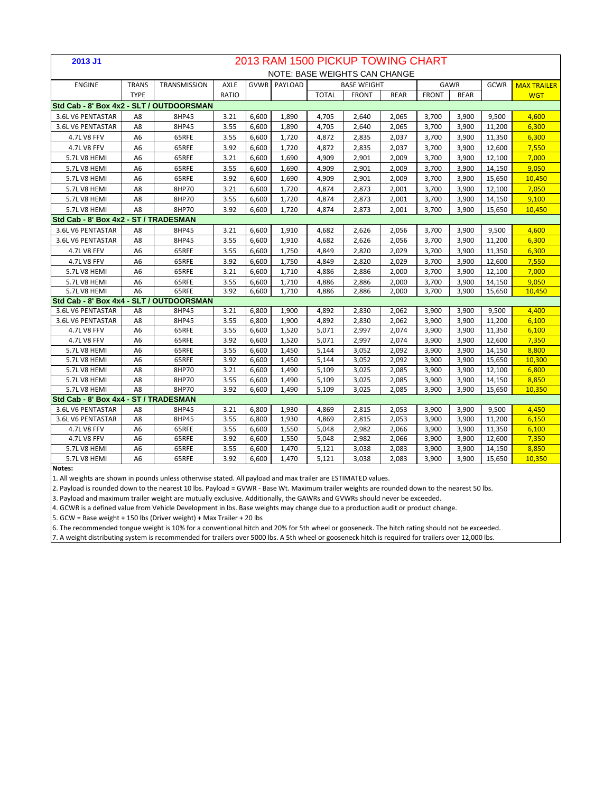| 2013 J1                                  |                      |              |              |       |                     |              | 2013 RAM 1500 PICKUP TOWING CHART |             |              |             |        |                    |
|------------------------------------------|----------------------|--------------|--------------|-------|---------------------|--------------|-----------------------------------|-------------|--------------|-------------|--------|--------------------|
|                                          |                      |              |              |       |                     |              | NOTE: BASE WEIGHTS CAN CHANGE     |             |              |             |        |                    |
| <b>ENGINE</b>                            | <b>TRANS</b>         | TRANSMISSION | <b>AXLE</b>  |       | <b>GVWR PAYLOAD</b> |              | <b>BASE WEIGHT</b>                |             |              | GAWR        | GCWR   | <b>MAX TRAILER</b> |
|                                          | <b>TYPE</b>          |              | RATIO        |       |                     | <b>TOTAL</b> | <b>FRONT</b>                      | <b>REAR</b> | <b>FRONT</b> | <b>REAR</b> |        | <b>WGT</b>         |
| Std Cab - 8' Box 4x2 - SLT / OUTDOORSMAN |                      |              |              |       |                     |              |                                   |             |              |             |        |                    |
| 3.6L V6 PENTASTAR                        | A8                   | 8HP45        | 3.21         | 6,600 | 1,890               | 4,705        | 2,640                             | 2,065       | 3,700        | 3,900       | 9,500  | 4,600              |
| 3.6L V6 PENTASTAR                        | A8                   | 8HP45        | 3.55         | 6,600 | 1,890               | 4,705        | 2,640                             | 2,065       | 3,700        | 3,900       | 11,200 | 6,300              |
| 4.7L V8 FFV                              | A6                   | 65RFE        | 3.55         | 6,600 | 1,720               | 4,872        | 2,835                             | 2,037       | 3,700        | 3,900       | 11,350 | 6,300              |
| 4.7L V8 FFV                              | A6                   | 65RFE        | 3.92         | 6,600 | 1,720               | 4,872        | 2,835                             | 2,037       | 3,700        | 3,900       | 12,600 | 7,550              |
| 5.7LV8 HEMI                              | A <sub>6</sub>       | 65RFE        | 3.21         | 6,600 | 1.690               | 4,909        | 2,901                             | 2.009       | 3.700        | 3,900       | 12,100 | 7.000              |
| 5.7LV8 HEMI                              | A6                   | 65RFE        | 3.55         | 6,600 | 1,690               | 4,909        | 2,901                             | 2,009       | 3,700        | 3,900       | 14,150 | 9,050              |
| 5.7LV8 HEMI                              | A <sub>6</sub>       | 65RFE        | 3.92         | 6,600 | 1.690               | 4.909        | 2,901                             | 2.009       | 3,700        | 3,900       | 15,650 | 10,450             |
| 5.7L V8 HEMI                             | A <sub>8</sub>       | 8HP70        | 3.21         | 6,600 | 1,720               | 4,874        | 2,873                             | 2,001       | 3,700        | 3,900       | 12,100 | 7,050              |
| 5.7LV8 HEMI                              | A8                   | 8HP70        | 3.55         | 6,600 | 1,720               | 4,874        | 2,873                             | 2,001       | 3,700        | 3,900       | 14,150 | 9,100              |
| 5.7L V8 HEMI                             | A8                   | 8HP70        | 3.92         | 6,600 | 1,720               | 4,874        | 2,873                             | 2,001       | 3,700        | 3,900       | 15,650 | 10,450             |
| Std Cab - 8' Box 4x2 - ST / TRADESMAN    |                      |              |              |       |                     |              |                                   |             |              |             |        |                    |
| 3.6L V6 PENTASTAR                        | A8                   | 8HP45        | 3.21         | 6.600 | 1,910               | 4.682        | 2.626                             | 2.056       | 3.700        | 3,900       | 9.500  | 4.600              |
| 3.6L V6 PENTASTAR                        | A8                   | 8HP45        | 3.55         | 6,600 | 1,910               | 4,682        | 2,626                             | 2,056       | 3,700        | 3,900       | 11,200 | 6,300              |
| <b>4.7L V8 FFV</b>                       | A6                   | 65RFE        | 3.55         | 6,600 | 1,750               | 4,849        | 2,820                             | 2,029       | 3,700        | 3,900       | 11,350 | 6,300              |
| <b>4.7L V8 FFV</b>                       | A <sub>6</sub>       | 65RFE        | 3.92         | 6,600 | 1,750               | 4,849        | 2,820                             | 2,029       | 3,700        | 3,900       | 12,600 | 7,550              |
| 5.7L V8 HEMI                             | A6                   | 65RFE        | 3.21         | 6,600 | 1,710               | 4,886        | 2,886                             | 2,000       | 3,700        | 3,900       | 12,100 | 7,000              |
| 5.7L V8 HEMI                             | A6                   | 65RFE        | 3.55         | 6,600 | 1,710               | 4,886        | 2,886                             | 2,000       | 3,700        | 3,900       | 14,150 | 9,050              |
| 5.7LV8 HEMI                              | A <sub>6</sub>       | 65RFE        | 3.92         | 6,600 | 1,710               | 4,886        | 2,886                             | 2,000       | 3,700        | 3,900       | 15,650 | 10,450             |
| Std Cab - 8' Box 4x4 - SLT / OUTDOORSMAN |                      |              |              |       |                     |              |                                   |             |              |             |        |                    |
| 3.6L V6 PENTASTAR                        | A8                   | 8HP45        | 3.21         | 6,800 | 1,900               | 4,892        | 2,830                             | 2,062       | 3,900        | 3,900       | 9,500  | 4,400              |
| 3.6L V6 PENTASTAR                        | A8                   | 8HP45        | 3.55         | 6,800 | 1,900               | 4,892        | 2,830                             | 2,062       | 3,900        | 3,900       | 11,200 | 6,100              |
| <b>4.7L V8 FFV</b>                       | A <sub>6</sub>       | 65RFE        | 3.55         | 6,600 | 1,520               | 5,071        | 2,997                             | 2,074       | 3,900        | 3,900       | 11,350 | 6,100              |
| <b>4.7L V8 FFV</b>                       | A <sub>6</sub>       | 65RFE        | 3.92         | 6.600 | 1,520               | 5.071        | 2.997                             | 2.074       | 3,900        | 3,900       | 12,600 | 7,350              |
| <b>5.7L V8 HEMI</b>                      | A <sub>6</sub>       | 65RFE        | 3.55         | 6,600 | 1,450               | 5,144        | 3,052                             | 2,092       | 3,900        | 3,900       | 14,150 | 8,800              |
| 5.7L V8 HEMI                             | A <sub>6</sub>       | 65RFE        | 3.92         | 6.600 | 1.450               | 5.144        | 3,052                             | 2,092       | 3.900        | 3.900       | 15,650 | 10.300             |
| 5.7L V8 HEMI                             | A <sub>8</sub>       | 8HP70        | 3.21         | 6,600 | 1,490               | 5,109        | 3,025                             | 2,085       | 3,900        | 3,900       | 12,100 | 6,800              |
| 5.7LV8 HEMI                              | A8                   | 8HP70        | 3.55         | 6,600 | 1,490               | 5,109        | 3,025                             | 2,085       | 3,900        | 3,900       | 14,150 | 8,850              |
| 5.7L V8 HEMI                             | A <sub>8</sub>       | 8HP70        | 3.92         | 6,600 | 1.490               | 5.109        | 3,025                             | 2.085       | 3.900        | 3,900       | 15,650 | 10,350             |
| Std Cab - 8' Box 4x4 - ST / TRADESMAN    |                      |              |              |       |                     |              |                                   |             |              |             |        |                    |
| 3.6L V6 PENTASTAR                        | A <sub>8</sub>       | 8HP45        | 3.21         | 6,800 | 1,930               | 4,869        | 2,815                             | 2,053       | 3,900        | 3,900       | 9,500  | 4,450              |
| 3.6L V6 PENTASTAR                        | A8                   | 8HP45        | 3.55         | 6,800 | 1,930               | 4,869        | 2,815                             | 2,053       | 3,900        | 3,900       | 11,200 | 6,150              |
| <b>4.7L V8 FFV</b>                       | A <sub>6</sub>       | 65RFE        | 3.55         | 6,600 | 1,550               | 5,048        | 2,982                             | 2,066       | 3,900        | 3,900       | 11,350 | 6,100              |
| <b>4.7L V8 FFV</b>                       | A6                   | 65RFE        | 3.92         | 6,600 | 1,550               | 5,048        | 2,982                             | 2,066       | 3,900        | 3,900       | 12,600 | 7,350              |
| 5.7L V8 HEMI<br>5.7L V8 HEMI             | A6<br>A <sub>6</sub> | 65RFE        | 3.55<br>3.92 | 6,600 | 1,470               | 5,121        | 3,038                             | 2,083       | 3,900        | 3,900       | 14,150 | 8,850              |
|                                          |                      | 65RFE        |              | 6,600 | 1,470               | 5,121        | 3,038                             | 2,083       | 3,900        | 3,900       | 15,650 | 10,350             |

1. All weights are shown in pounds unless otherwise stated. All payload and max trailer are ESTIMATED values.

2. Payload is rounded down to the nearest 10 lbs. Payload = GVWR - Base Wt. Maximum trailer weights are rounded down to the nearest 50 lbs.

3. Payload and maximum trailer weight are mutually exclusive. Additionally, the GAWRs and GVWRs should never be exceeded.

4. GCWR is a defined value from Vehicle Development in lbs. Base weights may change due to a production audit or product change.

5. GCW = Base weight + 150 lbs (Driver weight) + Max Trailer + 20 lbs

6. The recommended tongue weight is 10% for a conventional hitch and 20% for 5th wheel or gooseneck. The hitch rating should not be exceeded.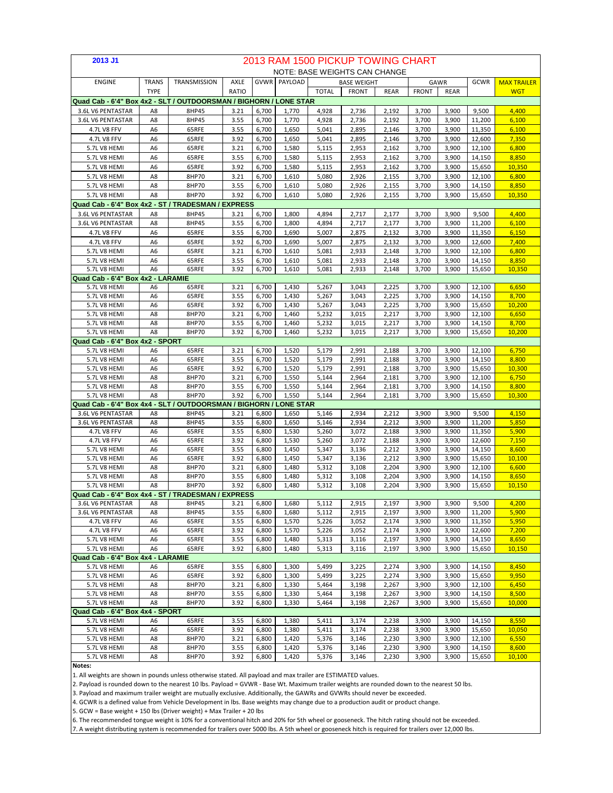| 2013 J1                                                           | 2013 RAM 1500 PICKUP TOWING CHART<br><b>NOTE: BASE WEIGHTS CAN CHANGE</b> |                |              |                |                |                                    |                |                |                |                |                  |                    |  |
|-------------------------------------------------------------------|---------------------------------------------------------------------------|----------------|--------------|----------------|----------------|------------------------------------|----------------|----------------|----------------|----------------|------------------|--------------------|--|
|                                                                   |                                                                           |                |              |                |                | GCWR<br><b>BASE WEIGHT</b><br>GAWR |                |                |                |                |                  |                    |  |
| <b>ENGINE</b>                                                     | <b>TRANS</b>                                                              | TRANSMISSION   | AXLE         |                | GVWR PAYLOAD   |                                    |                |                |                |                |                  | <b>MAX TRAILER</b> |  |
|                                                                   | <b>TYPE</b>                                                               |                | RATIO        |                |                | <b>TOTAL</b>                       | <b>FRONT</b>   | <b>REAR</b>    | <b>FRONT</b>   | <b>REAR</b>    |                  | <b>WGT</b>         |  |
| Quad Cab - 6'4" Box 4x2 - SLT / OUTDOORSMAN / BIGHORN / LONE STAR |                                                                           |                |              |                |                |                                    |                |                |                |                |                  |                    |  |
| 3.6L V6 PENTASTAR                                                 | A8                                                                        | 8HP45          | 3.21         | 6,700          | 1,770          | 4,928                              | 2,736          | 2,192          | 3,700          | 3,900          | 9,500            | 4,400              |  |
| 3.6L V6 PENTASTAR                                                 | A8                                                                        | 8HP45          | 3.55         | 6,700          | 1,770          | 4,928                              | 2,736          | 2,192          | 3,700          | 3,900          | 11,200           | 6,100              |  |
| 4.7L V8 FFV<br>4.7L V8 FFV                                        | A6                                                                        | 65RFE          | 3.55         | 6,700          | 1,650          | 5,041                              | 2,895          | 2,146          | 3,700          | 3,900          | 11,350           | 6,100              |  |
|                                                                   | A6                                                                        | 65RFE          | 3.92         | 6,700          | 1,650          | 5,041                              | 2,895          | 2,146          | 3,700          | 3,900          | 12,600           | 7,350              |  |
| 5.7L V8 HEMI                                                      | A6                                                                        | 65RFE          | 3.21         | 6,700          | 1,580          | 5,115                              | 2,953          | 2,162          | 3,700          | 3,900          | 12,100           | 6,800              |  |
| 5.7L V8 HEMI                                                      | A6                                                                        | 65RFE          | 3.55         | 6,700          | 1,580          | 5,115                              | 2,953          | 2,162          | 3,700          | 3,900          | 14,150           | 8,850              |  |
| 5.7L V8 HEMI<br>5.7L V8 HEMI                                      | A6                                                                        | 65RFE          | 3.92         | 6,700          | 1,580          | 5,115                              | 2,953          | 2,162          | 3,700          | 3,900          | 15,650           | 10,350             |  |
|                                                                   | A8                                                                        | 8HP70          | 3.21         | 6,700          | 1,610          | 5,080                              | 2,926          | 2,155          | 3,700          | 3,900          | 12,100           | 6,800              |  |
| 5.7L V8 HEMI                                                      | A8                                                                        | 8HP70          | 3.55         | 6,700          | 1,610          | 5,080                              | 2,926          | 2,155          | 3,700          | 3,900          | 14,150           | 8,850              |  |
| 5.7L V8 HEMI                                                      | A8                                                                        | 8HP70          | 3.92         | 6,700          | 1,610          | 5,080                              | 2,926          | 2,155          | 3,700          | 3,900          | 15,650           | 10,350             |  |
| Quad Cab - 6'4" Box 4x2 - ST / TRADESMAN / EXPRESS                |                                                                           |                |              |                |                |                                    |                |                |                |                |                  |                    |  |
| 3.6L V6 PENTASTAR                                                 | A8                                                                        | 8HP45          | 3.21         | 6,700          | 1,800          | 4,894                              | 2,717          | 2,177          | 3,700          | 3,900          | 9,500            | 4,400              |  |
| 3.6L V6 PENTASTAR                                                 | A8                                                                        | 8HP45          | 3.55         | 6,700          | 1,800          | 4,894                              | 2,717          | 2,177          | 3,700          | 3,900          | 11,200           | 6,100              |  |
| 4.7L V8 FFV                                                       | A6                                                                        | 65RFE          | 3.55         | 6,700          | 1,690          | 5,007                              | 2,875          | 2,132          | 3,700          | 3,900          | 11,350           | 6,150              |  |
| 4.7L V8 FFV                                                       | A6                                                                        | 65RFE          | 3.92         | 6,700          | 1,690          | 5,007                              | 2,875          | 2,132          | 3,700          | 3,900          | 12,600           | 7,400              |  |
| 5.7L V8 HEMI                                                      | A6                                                                        | 65RFE          | 3.21         | 6,700          | 1,610          | 5,081                              | 2,933          | 2,148          | 3,700          | 3,900          | 12,100           | 6,800              |  |
| 5.7L V8 HEMI                                                      | A6                                                                        | 65RFE          | 3.55         | 6,700          | 1,610          | 5,081                              | 2,933          | 2,148          | 3,700          | 3,900          | 14,150           | 8,850              |  |
| 5.7L V8 HEMI<br>Quad Cab - 6'4" Box 4x2 - LARAMIE                 | A6                                                                        | 65RFE          | 3.92         | 6,700          | 1,610          | 5,081                              | 2,933          | 2,148          | 3,700          | 3,900          | 15,650           | 10,350             |  |
|                                                                   | A6                                                                        | 65RFE          | 3.21         | 6,700          | 1,430          | 5,267                              | 3,043          | 2,225          | 3,700          | 3,900          | 12,100           | 6,650              |  |
| 5.7L V8 HEMI<br>5.7L V8 HEMI                                      | A <sub>6</sub>                                                            | 65RFE          | 3.55         | 6,700          | 1,430          | 5,267                              | 3,043          | 2,225          | 3,700          | 3,900          | 14,150           | 8,700              |  |
| 5.7L V8 HEMI                                                      | A6                                                                        | 65RFE          | 3.92         | 6,700          | 1,430          | 5,267                              | 3,043          | 2,225          | 3,700          | 3,900          | 15,650           | 10,200             |  |
| 5.7L V8 HEMI                                                      | A8                                                                        | 8HP70          | 3.21         | 6,700          | 1,460          | 5,232                              | 3,015          | 2,217          | 3,700          | 3,900          | 12,100           | 6,650              |  |
| 5.7L V8 HEMI                                                      | A8                                                                        | 8HP70          | 3.55         | 6,700          | 1,460          | 5,232                              | 3,015          | 2,217          | 3,700          | 3,900          | 14,150           | 8,700              |  |
| 5.7L V8 HEMI                                                      | A8                                                                        | 8HP70          | 3.92         | 6,700          | 1,460          | 5,232                              | 3,015          | 2,217          | 3,700          | 3,900          | 15,650           | 10,200             |  |
| Quad Cab - 6'4" Box 4x2 - SPORT                                   |                                                                           |                |              |                |                |                                    |                |                |                |                |                  |                    |  |
| 5.7L V8 HEMI                                                      | A <sub>6</sub>                                                            | 65RFE          | 3.21         | 6,700          | 1,520          | 5,179                              | 2,991          | 2,188          | 3,700          | 3,900          | 12,100           | 6,750              |  |
| 5.7L V8 HEMI                                                      | A6                                                                        | 65RFE          | 3.55         | 6,700          | 1,520          | 5,179                              | 2,991          | 2,188          | 3,700          | 3,900          | 14,150           | 8,800              |  |
| 5.7L V8 HEMI                                                      | A <sub>6</sub>                                                            | 65RFE          | 3.92         | 6,700          | 1,520          | 5,179                              | 2,991          | 2,188          | 3,700          | 3,900          | 15,650           | 10,300             |  |
| 5.7L V8 HEMI                                                      | A8                                                                        | 8HP70          | 3.21         | 6,700          | 1,550          | 5,144                              | 2,964          | 2,181          | 3,700          | 3,900          | 12,100           | 6,750              |  |
| 5.7L V8 HEMI                                                      | A8                                                                        | 8HP70          | 3.55         | 6,700          | 1,550          | 5,144                              | 2,964          | 2,181          | 3,700          | 3,900          | 14,150           | 8,800              |  |
| 5.7L V8 HEMI                                                      | A8                                                                        | 8HP70          | 3.92         | 6,700          | 1,550          | 5,144                              | 2,964          | 2,181          | 3,700          | 3,900          | 15,650           | 10,300             |  |
| Quad Cab - 6'4" Box 4x4 - SLT / OUTDOORSMAN / BIGHORN / LONE STAR |                                                                           |                |              |                |                |                                    |                |                |                |                |                  |                    |  |
| 3.6L V6 PENTASTAR                                                 | A8                                                                        | 8HP45          | 3.21         | 6,800          | 1,650          | 5,146                              | 2,934          | 2,212          | 3,900          | 3,900          | 9,500            | 4,150              |  |
| 3.6L V6 PENTASTAR                                                 | A8                                                                        | 8HP45          | 3.55         | 6,800          | 1,650          | 5,146                              | 2,934          | 2,212          | 3,900          | 3,900          | 11,200           | 5,850              |  |
| 4.7L V8 FFV                                                       | A6                                                                        | 65RFE          | 3.55         | 6,800          | 1,530          | 5,260                              | 3,072          | 2,188          | 3,900          | 3,900          | 11,350           | 5,900              |  |
| 4.7L V8 FFV                                                       | A6                                                                        | 65RFE          | 3.92         | 6,800          | 1,530          | 5,260                              | 3,072          | 2,188          | 3,900          | 3,900          | 12,600           | 7,150              |  |
| 5.7L V8 HEMI                                                      | A6                                                                        | 65RFE          | 3.55         | 6,800          | 1,450          | 5,347                              | 3,136          | 2,212          | 3,900          | 3,900          | 14,150           | 8,600              |  |
| 5.7L V8 HEMI                                                      | A6                                                                        | 65RFE          | 3.92         | 6,800          | 1,450          | 5,347                              | 3,136          | 2,212          | 3,900          | 3,900          | 15,650           | 10,100             |  |
| 5.7L V8 HEMI                                                      | A8                                                                        | 8HP70          | 3.21         | 6,800          | 1,480          | 5,312                              | 3,108          | 2,204          | 3,900          | 3,900          | 12,100           | 6,600              |  |
| 5.7L V8 HEMI                                                      | A8                                                                        | 8HP70          | 3.55         | 6,800          | 1,480          | 5,312                              | 3,108          | 2,204          | 3,900          | 3,900          | 14,150           | 8,650              |  |
| 5.7L V8 HEMI                                                      | A8                                                                        | 8HP70          | 3.92         | 6,800          | 1,480          | 5,312                              | 3,108          | 2,204          | 3,900          | 3,900          | 15,650           | 10,150             |  |
| Quad Cab - 6'4" Box 4x4 - ST / TRADESMAN / EXPRESS                |                                                                           |                |              |                |                |                                    |                |                |                |                |                  |                    |  |
| 3.6L V6 PENTASTAR                                                 | A8                                                                        | 8HP45          | 3.21         | 6,800          | 1,680          | 5,112                              | 2,915          | 2,197          | 3,900          | 3,900          | 9,500            | 4,200              |  |
| 3.6L V6 PENTASTAR<br>4.7L V8 FFV                                  | A8<br>A6                                                                  | 8HP45<br>65RFE | 3.55<br>3.55 | 6,800<br>6,800 | 1,680<br>1,570 | 5,112<br>5,226                     | 2,915<br>3,052 | 2,197<br>2,174 | 3,900          | 3,900<br>3,900 | 11,200<br>11,350 | 5,900<br>5,950     |  |
| 4.7L V8 FFV                                                       | A <sub>6</sub>                                                            | 65RFE          | 3.92         | 6,800          | 1,570          | 5,226                              | 3,052          | 2,174          | 3,900<br>3,900 | 3,900          | 12,600           | 7,200              |  |
| 5.7L V8 HEMI                                                      | A6                                                                        | 65RFE          | 3.55         | 6,800          | 1,480          | 5,313                              | 3,116          | 2,197          | 3,900          | 3,900          | 14,150           | 8,650              |  |
| 5.7L V8 HEMI                                                      | A <sub>6</sub>                                                            | 65RFE          | 3.92         | 6,800          | 1,480          | 5,313                              | 3,116          | 2,197          | 3,900          | 3,900          | 15,650           | 10,150             |  |
| Quad Cab - 6'4" Box 4x4 - LARAMIE                                 |                                                                           |                |              |                |                |                                    |                |                |                |                |                  |                    |  |
| 5.7L V8 HEMI                                                      | A <sub>6</sub>                                                            | 65RFE          | 3.55         | 6,800          | 1,300          | 5,499                              | 3,225          | 2,274          | 3,900          | 3,900          | 14,150           | 8,450              |  |
| 5.7L V8 HEMI                                                      | A <sub>6</sub>                                                            | 65RFE          | 3.92         | 6,800          | 1,300          | 5,499                              | 3,225          | 2,274          | 3,900          | 3,900          | 15,650           | 9,950              |  |
| 5.7L V8 HEMI                                                      | A8                                                                        | 8HP70          | 3.21         | 6,800          | 1,330          | 5,464                              | 3,198          | 2,267          | 3,900          | 3,900          | 12,100           | 6,450              |  |
| 5.7L V8 HEMI                                                      | A8                                                                        | 8HP70          | 3.55         | 6,800          | 1,330          | 5,464                              | 3,198          | 2,267          | 3,900          | 3,900          | 14,150           | 8,500              |  |
| 5.7L V8 HEMI                                                      | A8                                                                        | 8HP70          | 3.92         | 6,800          | 1,330          | 5,464                              | 3,198          | 2,267          | 3,900          | 3,900          | 15,650           | 10,000             |  |
| Quad Cab - 6'4" Box 4x4 - SPORT                                   |                                                                           |                |              |                |                |                                    |                |                |                |                |                  |                    |  |
| 5.7L V8 HEMI                                                      | A6                                                                        | 65RFE          | 3.55         | 6,800          | 1,380          | 5,411                              | 3,174          | 2,238          | 3,900          | 3,900          | 14,150           | 8,550              |  |
| 5.7L V8 HEMI                                                      | A6                                                                        | 65RFE          | 3.92         | 6,800          | 1,380          | 5,411                              | 3,174          | 2,238          | 3,900          | 3,900          | 15,650           | 10,050             |  |
| 5.7L V8 HEMI                                                      | A8                                                                        | 8HP70          | 3.21         | 6,800          | 1,420          | 5,376                              | 3,146          | 2,230          | 3,900          | 3,900          | 12,100           | 6,550              |  |
| 5.7L V8 HEMI                                                      | A8                                                                        | 8HP70          | 3.55         | 6,800          | 1,420          | 5,376                              | 3,146          | 2,230          | 3,900          | 3,900          | 14,150           | 8,600              |  |
| 5.7L V8 HEMI                                                      | A8                                                                        | 8HP70          | 3.92         | 6,800          | 1,420          | 5,376                              | 3,146          | 2,230          | 3,900          | 3,900          | 15,650           | 10,100             |  |
| Notes:                                                            |                                                                           |                |              |                |                |                                    |                |                |                |                |                  |                    |  |

1. All weights are shown in pounds unless otherwise stated. All payload and max trailer are ESTIMATED values.

2. Payload is rounded down to the nearest 10 lbs. Payload = GVWR - Base Wt. Maximum trailer weights are rounded down to the nearest 50 lbs.

3. Payload and maximum trailer weight are mutually exclusive. Additionally, the GAWRs and GVWRs should never be exceeded.

4. GCWR is a defined value from Vehicle Development in lbs. Base weights may change due to a production audit or product change.

5. GCW = Base weight + 150 lbs (Driver weight) + Max Trailer + 20 lbs

6. The recommended tongue weight is 10% for a conventional hitch and 20% for 5th wheel or gooseneck. The hitch rating should not be exceeded.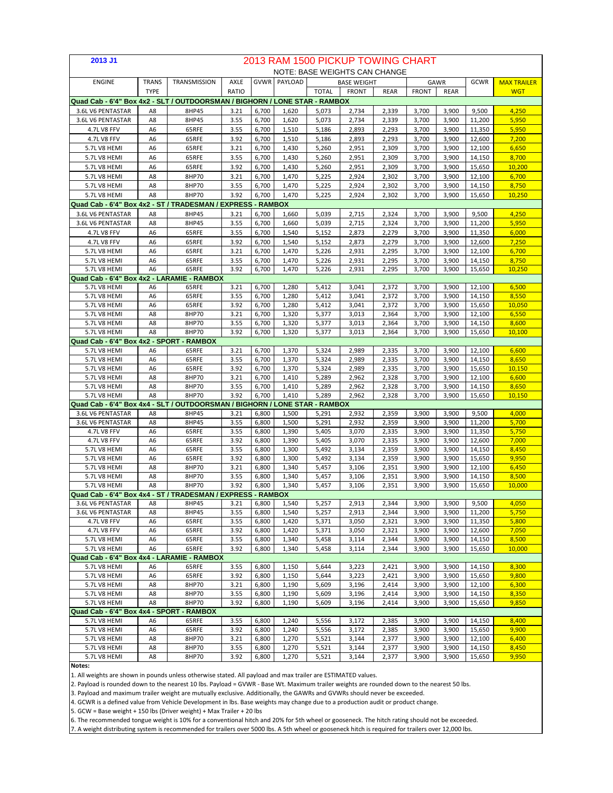| 2013 J1                                                                    | 2013 RAM 1500 PICKUP TOWING CHART<br><b>NOTE: BASE WEIGHTS CAN CHANGE</b> |                |              |                |                     |                |                    |                |                |                |                  |                    |
|----------------------------------------------------------------------------|---------------------------------------------------------------------------|----------------|--------------|----------------|---------------------|----------------|--------------------|----------------|----------------|----------------|------------------|--------------------|
|                                                                            |                                                                           |                |              |                |                     |                |                    |                |                |                |                  |                    |
| <b>ENGINE</b>                                                              | <b>TRANS</b>                                                              | TRANSMISSION   | AXLE         |                | <b>GVWR PAYLOAD</b> |                | <b>BASE WEIGHT</b> |                |                | <b>GAWR</b>    | GCWR             | <b>MAX TRAILER</b> |
|                                                                            | <b>TYPE</b>                                                               |                | RATIO        |                |                     | <b>TOTAL</b>   | <b>FRONT</b>       | <b>REAR</b>    | <b>FRONT</b>   | REAR           |                  | <b>WGT</b>         |
| Quad Cab - 6'4" Box 4x2 - SLT / OUTDOORSMAN / BIGHORN / LONE STAR - RAMBOX |                                                                           |                |              |                |                     |                |                    |                |                |                |                  |                    |
| 3.6L V6 PENTASTAR                                                          | A8                                                                        | 8HP45          | 3.21         | 6,700          | 1,620               | 5,073          | 2,734              | 2,339          | 3,700          | 3,900          | 9,500            | 4,250              |
| 3.6L V6 PENTASTAR                                                          | A8                                                                        | 8HP45          | 3.55         | 6,700          | 1,620               | 5,073          | 2,734              | 2,339          | 3,700          | 3,900          | 11,200           | 5,950              |
| 4.7L V8 FFV                                                                | A6                                                                        | 65RFE          | 3.55         | 6,700          | 1,510               | 5,186          | 2,893              | 2,293          | 3,700          | 3,900          | 11,350           | 5,950              |
| 4.7L V8 FFV                                                                | A6                                                                        | 65RFE          | 3.92         | 6,700          | 1,510               | 5,186          | 2,893              | 2,293          | 3,700          | 3,900          | 12,600           | 7,200              |
| 5.7L V8 HEMI                                                               | A <sub>6</sub>                                                            | 65RFE          | 3.21         | 6,700          | 1,430               | 5,260          | 2,951              | 2,309          | 3,700          | 3,900          | 12,100           | 6,650              |
| 5.7L V8 HEMI                                                               | A6                                                                        | 65RFE          | 3.55         | 6,700          | 1,430               | 5,260          | 2,951              | 2,309          | 3,700          | 3,900          | 14,150           | 8,700              |
| 5.7L V8 HEMI                                                               | A6                                                                        | 65RFE          | 3.92         | 6,700          | 1,430               | 5,260          | 2,951              | 2,309          | 3,700          | 3,900          | 15,650           | 10,200             |
| 5.7L V8 HEMI                                                               | A8                                                                        | 8HP70          | 3.21         | 6,700          | 1,470               | 5,225          | 2,924              | 2,302          | 3,700          | 3,900          | 12,100           | 6,700              |
| 5.7L V8 HEMI                                                               | A8                                                                        | 8HP70          | 3.55         | 6,700          | 1,470               | 5,225          | 2,924              | 2,302          | 3,700          | 3,900          | 14,150           | 8,750              |
| 5.7L V8 HEMI                                                               | A8                                                                        | 8HP70          | 3.92         | 6,700          | 1,470               | 5,225          | 2,924              | 2,302          | 3,700          | 3,900          | 15,650           | 10,250             |
| Quad Cab - 6'4" Box 4x2 - ST / TRADESMAN / EXPRESS - RAMBOX                |                                                                           |                |              |                |                     |                |                    |                |                |                |                  |                    |
| 3.6L V6 PENTASTAR                                                          | A8                                                                        | 8HP45          | 3.21         | 6,700          | 1,660               | 5,039          | 2,715              | 2,324          | 3,700          | 3,900          | 9,500            | 4,250              |
| 3.6L V6 PENTASTAR                                                          | A8                                                                        | 8HP45          | 3.55         | 6,700          | 1,660               | 5,039          | 2,715              | 2,324          | 3,700          | 3,900          | 11,200           | 5,950              |
| 4.7L V8 FFV                                                                | A6                                                                        | 65RFE          | 3.55         | 6,700          | 1,540               | 5,152          | 2,873              | 2,279          | 3,700          | 3,900          | 11,350           | 6,000              |
| 4.7L V8 FFV                                                                | A <sub>6</sub>                                                            | 65RFE          | 3.92         | 6,700          | 1,540               | 5,152          | 2,873              | 2,279          | 3,700          | 3,900          | 12,600           | 7,250              |
| 5.7L V8 HEMI                                                               | A <sub>6</sub>                                                            | 65RFE          | 3.21         | 6,700          | 1,470               | 5,226          | 2,931              | 2,295          | 3,700          | 3,900          | 12,100           | 6,700              |
| 5.7L V8 HEMI                                                               | A <sub>6</sub>                                                            | 65RFE          | 3.55         | 6,700          | 1,470               | 5,226          | 2,931              | 2,295          | 3,700          | 3,900          | 14,150           | 8,750              |
| 5.7L V8 HEMI                                                               | A <sub>6</sub>                                                            | 65RFE          | 3.92         | 6,700          | 1,470               | 5,226          | 2,931              | 2,295          | 3,700          | 3,900          | 15,650           | 10,250             |
| Quad Cab - 6'4" Box 4x2 - LARAMIE - RAMBOX                                 |                                                                           |                |              |                |                     |                |                    |                |                |                |                  |                    |
| 5.7L V8 HEMI                                                               | A <sub>6</sub>                                                            | 65RFE          | 3.21         | 6,700          | 1,280               | 5,412          | 3,041              | 2,372          | 3,700          | 3,900          | 12,100           | 6,500              |
| 5.7L V8 HEMI                                                               | A <sub>6</sub>                                                            | 65RFE          | 3.55         | 6,700          | 1,280               | 5,412          | 3,041              | 2,372          | 3,700          | 3,900          | 14,150           | 8,550              |
| 5.7L V8 HEMI                                                               | A <sub>6</sub>                                                            | 65RFE          | 3.92         | 6,700          | 1,280               | 5,412          | 3,041              | 2,372          | 3,700          | 3,900          | 15,650           | 10,050             |
| 5.7L V8 HEMI                                                               | A8                                                                        | 8HP70          | 3.21         | 6,700          | 1,320               | 5,377          | 3,013              | 2,364          | 3,700          | 3,900          | 12,100           | 6,550              |
| 5.7LV8 HEMI                                                                | A8                                                                        | 8HP70          | 3.55         | 6,700          | 1,320               | 5,377          | 3,013              | 2,364          | 3,700          | 3,900          | 14,150           | 8,600              |
| 5.7L V8 HEMI                                                               | A8                                                                        | 8HP70          | 3.92         | 6,700          | 1,320               | 5,377          | 3,013              | 2,364          | 3,700          | 3,900          | 15,650           | 10,100             |
| Quad Cab - 6'4" Box 4x2 - SPORT - RAMBOX                                   |                                                                           |                |              |                |                     |                |                    |                |                |                |                  |                    |
| 5.7L V8 HEMI                                                               | A <sub>6</sub>                                                            | 65RFE          | 3.21         | 6,700          | 1,370               | 5,324          | 2,989              | 2,335          | 3,700          | 3,900          | 12,100           | 6,600              |
| 5.7LV8 HEMI                                                                | A <sub>6</sub>                                                            | 65RFE          | 3.55         | 6,700          | 1,370               | 5,324          | 2,989              | 2,335          | 3,700          | 3,900          | 14,150           | 8,650              |
| 5.7L V8 HEMI                                                               | A <sub>6</sub>                                                            | 65RFE          | 3.92         | 6,700          | 1,370               | 5,324          | 2,989              | 2,335          | 3,700          | 3,900          | 15,650           | 10,150             |
| 5.7L V8 HEMI                                                               | A8                                                                        | 8HP70          | 3.21         | 6,700          | 1,410               | 5,289          | 2,962              | 2,328          | 3,700          | 3,900          | 12,100           | 6,600              |
| 5.7L V8 HEMI                                                               | A8                                                                        | 8HP70          | 3.55         | 6,700          | 1,410               | 5,289          | 2,962              | 2,328          | 3,700          | 3,900          | 14,150           | 8,650              |
| 5.7L V8 HEMI                                                               | A8                                                                        | 8HP70          | 3.92         | 6,700          | 1,410               | 5,289          | 2,962              | 2,328          | 3,700          | 3,900          | 15,650           | 10,150             |
| Quad Cab - 6'4" Box 4x4 - SLT / OUTDOORSMAN / BIGHORN / LONE STAR - RAMBOX |                                                                           |                |              |                |                     |                |                    |                |                |                |                  |                    |
| 3.6L V6 PENTASTAR<br>3.6L V6 PENTASTAR                                     | A8<br>A8                                                                  | 8HP45<br>8HP45 | 3.21<br>3.55 | 6,800<br>6,800 | 1,500<br>1,500      | 5,291<br>5,291 | 2,932<br>2,932     | 2,359          | 3,900<br>3,900 | 3,900<br>3,900 | 9,500            | 4,000<br>5,700     |
| 4.7L V8 FFV                                                                | A6                                                                        | 65RFE          | 3.55         | 6,800          |                     | 5,405          | 3,070              | 2,359<br>2,335 | 3,900          | 3,900          | 11,200           | 5,750              |
| 4.7L V8 FFV                                                                | A <sub>6</sub>                                                            | 65RFE          | 3.92         | 6,800          | 1,390<br>1,390      | 5,405          | 3,070              | 2,335          | 3,900          | 3,900          | 11,350<br>12,600 | 7,000              |
| 5.7L V8 HEMI                                                               | A <sub>6</sub>                                                            | 65RFE          | 3.55         | 6,800          | 1,300               | 5,492          | 3,134              | 2,359          | 3,900          | 3,900          | 14,150           | 8,450              |
| 5.7L V8 HEMI                                                               | A <sub>6</sub>                                                            | 65RFE          | 3.92         | 6,800          | 1,300               | 5,492          | 3,134              | 2,359          | 3,900          | 3,900          | 15,650           | 9,950              |
| 5.7L V8 HEMI                                                               | A8                                                                        | 8HP70          | 3.21         | 6,800          | 1,340               | 5,457          | 3,106              | 2,351          | 3,900          | 3,900          | 12,100           | 6,450              |
| 5.7L V8 HEMI                                                               | A8                                                                        | 8HP70          | 3.55         | 6,800          | 1,340               | 5,457          | 3,106              | 2,351          | 3,900          | 3,900          | 14,150           | 8,500              |
| 5.7L V8 HEMI                                                               | A8                                                                        | 8HP70          | 3.92         | 6,800          | 1,340               | 5,457          | 3,106              | 2,351          | 3,900          | 3,900          | 15,650           | 10,000             |
| Quad Cab - 6'4" Box 4x4 - ST / TRADESMAN / EXPRESS - RAMBOX                |                                                                           |                |              |                |                     |                |                    |                |                |                |                  |                    |
| 3.6L V6 PENTASTAR                                                          | A8                                                                        | 8HP45          | 3.21         | 6,800          | 1,540               | 5,257          | 2,913              | 2,344          | 3,900          | 3,900          | 9,500            | 4,050              |
| 3.6L V6 PENTASTAR                                                          | A8                                                                        | 8HP45          | 3.55         | 6,800          | 1,540               | 5,257          | 2,913              | 2,344          | 3,900          | 3,900          | 11,200           | 5,750              |
| 4.7L V8 FFV                                                                | A6                                                                        | 65RFE          | 3.55         | 6,800          | 1,420               | 5,371          | 3,050              | 2,321          | 3,900          | 3,900          | 11,350           | 5,800              |
| 4.7L V8 FFV                                                                | A <sub>6</sub>                                                            | 65RFE          | 3.92         | 6,800          | 1,420               | 5,371          | 3,050              | 2,321          | 3,900          | 3,900          | 12,600           | 7,050              |
| 5.7LV8 HEMI                                                                | A <sub>6</sub>                                                            | 65RFE          | 3.55         | 6,800          | 1,340               | 5,458          | 3,114              | 2,344          | 3,900          | 3,900          | 14,150           | 8,500              |
| 5.7LV8 HEMI                                                                | A <sub>6</sub>                                                            | 65RFE          | 3.92         | 6,800          | 1,340               | 5,458          | 3,114              | 2,344          | 3,900          | 3,900          | 15,650           | 10,000             |
| Quad Cab - 6'4" Box 4x4 - LARAMIE - RAMBOX                                 |                                                                           |                |              |                |                     |                |                    |                |                |                |                  |                    |
| 5.7L V8 HEMI                                                               | A <sub>6</sub>                                                            | 65RFE          | 3.55         | 6,800          | 1,150               | 5,644          | 3,223              | 2,421          | 3,900          | 3,900          | 14,150           | 8,300              |
| 5.7LV8 HEMI                                                                | A <sub>6</sub>                                                            | 65RFE          | 3.92         | 6,800          | 1,150               | 5,644          | 3,223              | 2,421          | 3,900          | 3,900          | 15,650           | 9,800              |
| 5.7L V8 HEMI                                                               | A8                                                                        | 8HP70          | 3.21         | 6,800          | 1,190               | 5,609          | 3,196              | 2,414          | 3,900          | 3,900          | 12,100           | 6,300              |
| 5.7LV8 HEMI                                                                | A8                                                                        | 8HP70          | 3.55         | 6,800          | 1,190               | 5,609          | 3,196              | 2,414          | 3,900          | 3,900          | 14,150           | 8,350              |
| 5.7L V8 HEMI                                                               | A8                                                                        | 8HP70          | 3.92         | 6,800          | 1,190               | 5,609          | 3,196              | 2,414          | 3,900          | 3,900          | 15,650           | 9,850              |
| Quad Cab - 6'4" Box 4x4 - SPORT - RAMBOX                                   |                                                                           |                |              |                |                     |                |                    |                |                |                |                  |                    |
| 5.7L V8 HEMI                                                               | A6                                                                        | 65RFE          | 3.55         | 6,800          | 1,240               | 5,556          | 3,172              | 2,385          | 3,900          | 3,900          | 14,150           | 8,400              |
| 5.7L V8 HEMI                                                               | A6                                                                        | 65RFE          | 3.92         | 6,800          | 1,240               | 5,556          | 3,172              | 2,385          | 3,900          | 3,900          | 15,650           | 9,900              |
| 5.7L V8 HEMI                                                               | A8                                                                        | 8HP70          | 3.21         | 6,800          | 1,270               | 5,521          | 3,144              | 2,377          | 3,900          | 3,900          | 12,100           | 6,400              |
| 5.7L V8 HEMI                                                               | A8                                                                        | 8HP70          | 3.55         | 6,800          | 1,270               | 5,521          | 3,144              | 2,377          | 3,900          | 3,900          | 14,150           | 8,450              |
| 5.7L V8 HEMI                                                               | A8                                                                        | 8HP70          | 3.92         | 6,800          | 1,270               | 5,521          | 3,144              | 2,377          | 3,900          | 3,900          | 15,650           | 9,950              |
| Notes:                                                                     |                                                                           |                |              |                |                     |                |                    |                |                |                |                  |                    |

1. All weights are shown in pounds unless otherwise stated. All payload and max trailer are ESTIMATED values.

2. Payload is rounded down to the nearest 10 lbs. Payload = GVWR - Base Wt. Maximum trailer weights are rounded down to the nearest 50 lbs.

3. Payload and maximum trailer weight are mutually exclusive. Additionally, the GAWRs and GVWRs should never be exceeded.

4. GCWR is a defined value from Vehicle Development in lbs. Base weights may change due to a production audit or product change.

5. GCW = Base weight + 150 lbs (Driver weight) + Max Trailer + 20 lbs

6. The recommended tongue weight is 10% for a conventional hitch and 20% for 5th wheel or gooseneck. The hitch rating should not be exceeded.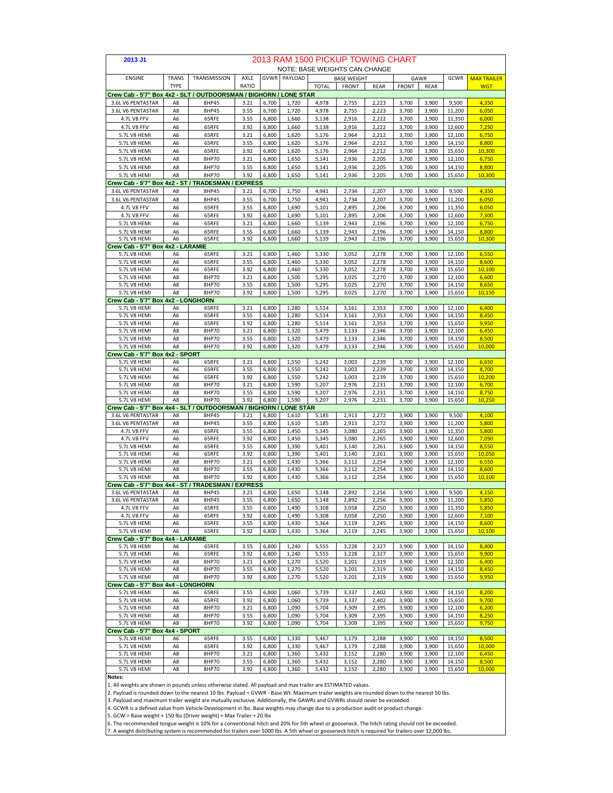| 2013 J1                                                            |                             |                |                      |                |                |                | 2013 RAM 1500 PICKUP TOWING CHART |                |                |                |                  |                    |
|--------------------------------------------------------------------|-----------------------------|----------------|----------------------|----------------|----------------|----------------|-----------------------------------|----------------|----------------|----------------|------------------|--------------------|
|                                                                    |                             |                |                      |                |                |                | NOTE: BASE WEIGHTS CAN CHANGE     |                |                |                |                  |                    |
| <b>ENGINE</b>                                                      | <b>TRANS</b><br><b>TYPE</b> | TRANSMISSION   | <b>AXLE</b><br>RATIO |                | GVWR PAYLOAD   |                | <b>BASE WEIGHT</b>                |                |                | GAWR           | GCWR             | <b>MAX TRAILER</b> |
| Crew Cab - 5'7" Box 4x2 - SLT / OUTDOORSMAN / BIGHORN / LONE STAR  |                             |                |                      |                |                | <b>TOTAL</b>   | <b>FRONT</b>                      | <b>REAR</b>    | <b>FRONT</b>   | <b>REAR</b>    |                  | <b>WGT</b>         |
| 3.6L V6 PENTASTAR                                                  | A8                          | 8HP45          | 3.21                 | 6,700          | 1,720          | 4,978          | 2,755                             | 2,223          | 3,700          | 3,900          | 9,500            | 4,350              |
| 3.6L V6 PENTASTAR                                                  | A8                          | 8HP45          | 3.55                 | 6,700          | 1,720          | 4,978          | 2,755                             | 2,223          | 3,700          | 3,900          | 11,200           | 6,050              |
| 4.7L V8 FFV                                                        | A6                          | 65RFE          | 3.55                 | 6,800          | 1,660          | 5,138          | 2,916                             | 2,222          | 3,700          | 3,900          | 11,350           | 6,000              |
| <b>4.7L V8 FFV</b>                                                 | A6                          | 65RFE          | 3.92                 | 6,800          | 1,660          | 5,138          | 2,916                             | 2,222          | 3,700          | 3,900          | 12,600           | 7,250              |
| 5.7L V8 HEMI                                                       | A <sub>6</sub>              | 65RFE          | 3.21                 | 6,800          | 1,620          | 5,176          | 2,964                             | 2,212          | 3,700          | 3,900          | 12,100           | 6,750              |
| 5.7L V8 HEMI<br>5.7L V8 HEMI                                       | A6<br>A6                    | 65RFE<br>65RFE | 3.55<br>3.92         | 6,800<br>6,800 | 1,620<br>1,620 | 5,176<br>5,176 | 2,964<br>2,964                    | 2,212          | 3,700<br>3,700 | 3,900<br>3,900 | 14,150           | 8,800<br>10,300    |
| 5.7L V8 HEMI                                                       | A8                          | 8HP70          | 3.21                 | 6,800          | 1,650          | 5,141          | 2,936                             | 2,212<br>2,205 | 3,700          | 3,900          | 15,650<br>12,100 | 6,750              |
| 5.7L V8 HEMI                                                       | A8                          | 8HP70          | 3.55                 | 6,800          | 1,650          | 5,141          | 2,936                             | 2,205          | 3,700          | 3,900          | 14,150           | 8,800              |
| 5.7L V8 HEMI                                                       | A8                          | 8HP70          | 3.92                 | 6,800          | 1,650          | 5,141          | 2,936                             | 2,205          | 3,700          | 3,900          | 15,650           | 10,300             |
| Crew Cab - 5'7" Box 4x2 - ST / TRADESMAN / EXPRESS                 |                             |                |                      |                |                |                |                                   |                |                |                |                  |                    |
| 3.6L V6 PENTASTAR                                                  | A8                          | 8HP45          | 3.21                 | 6,700          | 1,750          | 4,941          | 2,734                             | 2,207          | 3,700          | 3,900          | 9,500            | 4,350              |
| 3.6L V6 PENTASTAR                                                  | A8                          | 8HP45          | 3.55                 | 6,700          | 1,750          | 4,941          | 2,734                             | 2,207          | 3,700          | 3,900          | 11,200           | 6,050              |
| 4.7L V8 FFV                                                        | A6                          | 65RFE          | 3.55                 | 6,800          | 1,690          | 5,101          | 2,895                             | 2,206          | 3,700          | 3,900          | 11,350           | 6,050              |
| 4.7L V8 FFV<br>5.7L V8 HEMI                                        | A6<br>A6                    | 65RFE<br>65RFE | 3.92<br>3.21         | 6,800<br>6,800 | 1,690<br>1,660 | 5,101<br>5,139 | 2,895<br>2,943                    | 2,206<br>2,196 | 3,700<br>3,700 | 3,900<br>3,900 | 12,600<br>12,100 | 7,300<br>6,750     |
| 5.7L V8 HEMI                                                       | A6                          | 65RFE          | 3.55                 | 6,800          | 1,660          | 5,139          | 2,943                             | 2,196          | 3,700          | 3,900          | 14,150           | 8,800              |
| 5.7L V8 HEMI                                                       | A6                          | 65RFE          | 3.92                 | 6,800          | 1,660          | 5,139          | 2,943                             | 2,196          | 3,700          | 3,900          | 15,650           | 10,300             |
| Crew Cab - 5'7" Box 4x2 - LARAMIE                                  |                             |                |                      |                |                |                |                                   |                |                |                |                  |                    |
| 5.7L V8 HEMI                                                       | A6                          | 65RFE          | 3.21                 | 6,800          | 1,460          | 5,330          | 3,052                             | 2,278          | 3,700          | 3,900          | 12,100           | 6,550              |
| 5.7L V8 HEMI                                                       | A6                          | 65RFE          | 3.55                 | 6,800          | 1,460          | 5,330          | 3,052                             | 2,278          | 3,700          | 3,900          | 14,150           | 8,600              |
| 5.7L V8 HEMI<br>5.7L V8 HEMI                                       | A6<br>A8                    | 65RFE<br>8HP70 | 3.92<br>3.21         | 6,800<br>6,800 | 1,460<br>1,500 | 5,330<br>5,295 | 3,052<br>3,025                    | 2,278<br>2,270 | 3,700<br>3,700 | 3,900<br>3,900 | 15.650<br>12,100 | 10,100<br>6.600    |
| 5.7L V8 HEMI                                                       | A8                          | 8HP70          | 3.55                 | 6,800          | 1,500          | 5,295          | 3,025                             | 2,270          | 3,700          | 3,900          | 14,150           | 8,650              |
| 5.7L V8 HEMI                                                       | A8                          | 8HP70          | 3.92                 | 6,800          | 1,500          | 5,295          | 3,025                             | 2,270          | 3,700          | 3,900          | 15,650           | 10,150             |
| Crew Cab - 5'7" Box 4x2 - LONGHORN                                 |                             |                |                      |                |                |                |                                   |                |                |                |                  |                    |
| 5.7L V8 HEMI                                                       | A6                          | 65RFE          | 3.21                 | 6,800          | 1,280          | 5,514          | 3,161                             | 2,353          | 3,700          | 3,900          | 12,100           | 6,400              |
| 5.7L V8 HEMI                                                       | A6                          | 65RFE<br>65RFE | 3.55<br>3.92         | 6,800          | 1,280          | 5,514          | 3,161                             | 2,353<br>2,353 | 3,700          | 3,900          | 14,150           | 8,450<br>9,950     |
| 5.7L V8 HEMI<br>5.7L V8 HEMI                                       | A6<br>A8                    | 8HP70          | 3.21                 | 6,800<br>6,800 | 1,280<br>1,320 | 5,514<br>5,479 | 3,161<br>3,133                    | 2,346          | 3,700<br>3,700 | 3,900<br>3,900 | 15,650<br>12,100 | 6,450              |
| 5.7L V8 HEMI                                                       | A8                          | 8HP70          | 3.55                 | 6,800          | 1,320          | 5,479          | 3,133                             | 2,346          | 3,700          | 3,900          | 14,150           | 8,500              |
| 5.7L V8 HEMI                                                       | A8                          | 8HP70          | 3.92                 | 6,800          | 1,320          | 5,479          | 3,133                             | 2,346          | 3,700          | 3,900          | 15,650           | 10,000             |
| Crew Cab - 5'7" Box 4x2 - SPORT                                    |                             |                |                      |                |                |                |                                   |                |                |                |                  |                    |
| 5.7L V8 HEMI                                                       | A6                          | 65RFE          | 3.21                 | 6,800          | 1,550          | 5,242          | 3,003                             | 2,239          | 3,700          | 3,900          | 12,100           | 6,650              |
| 5.7L V8 HEMI<br>5.7L V8 HEMI                                       | A6<br>A <sub>6</sub>        | 65RFE<br>65RFE | 3.55<br>3.92         | 6,800          | 1,550<br>1,550 | 5,242<br>5,242 | 3,003                             | 2,239<br>2,239 | 3,700<br>3,700 | 3,900          | 14,150<br>15,650 | 8,700<br>10,200    |
| 5.7L V8 HEMI                                                       | A8                          | 8HP70          | 3.21                 | 6,800<br>6,800 | 1,590          | 5,207          | 3,003<br>2,976                    | 2,231          | 3,700          | 3,900<br>3,900 | 12,100           | 6,700              |
| 5.7L V8 HEMI                                                       | A8                          | 8HP70          | 3.55                 | 6,800          | 1,590          | 5,207          | 2,976                             | 2,231          | 3,700          | 3,900          | 14,150           | 8,750              |
| 5.7L V8 HEMI                                                       | A8                          | 8HP70          | 3.92                 | 6,800          | 1,590          | 5,207          | 2,976                             | 2,231          | 3,700          | 3,900          | 15,650           | 10,250             |
| Crew Cab - 5'7" Box 4x4 - SLT / OUTDOORSMAN / BIGHORN / LONE STAR  |                             |                |                      |                |                |                |                                   |                |                |                |                  |                    |
| 3.6L V6 PENTASTAR                                                  | A8                          | 8HP45          | 3.21                 | 6,800          | 1,610          | 5,185          | 2,913                             | 2,272          | 3,900          | 3,900          | 9,500            | 4,100              |
| 3.6L V6 PENTASTAR<br>4.7L V8 FFV                                   | A8<br>A6                    | 8HP45<br>65RFE | 3.55<br>3.55         | 6,800<br>6,800 | 1,610<br>1,450 | 5,185<br>5,345 | 2,913<br>3,080                    | 2,272<br>2,265 | 3,900<br>3,900 | 3,900<br>3,900 | 11,200<br>11,350 | 5,800<br>5,800     |
| 4.7L V8 FFV                                                        | A6                          | 65RFE          | 3.92                 | 6,800          | 1,450          | 5,345          | 3,080                             | 2,265          | 3,900          | 3,900          | 12,600           | 7,050              |
| 5.7L V8 HEMI                                                       | A6                          | 65RFE          | 3.55                 | 6,800          | 1,390          | 5,401          | 3,140                             | 2,261          | 3,900          | 3,900          | 14,150           | 8,550              |
| 5.7L V8 HEMI                                                       | A6                          | 65RFE          | 3.92                 | 6,800          | 1,390          | 5,401          | 3,140                             | 2,261          | 3,900          | 3,900          | 15,650           | 10.050             |
| 5.7L V8 HEMI                                                       | A8                          | 8HP70          | 3.21                 | 6,800          | 1,430          | 5,366          | 3,112                             | 2,254          | 3,900          | 3,900          | 12,100           | 6,550              |
| 5.7L V8 HEMI                                                       | A8                          | 8HP70          | 3.55                 | 6,800          | 1,430          | 5,366          | 3,112                             | 2,254          | 3,900          | 3,900          | 14,150           | 8,600              |
| 5.7L V8 HEMI<br>Crew Cab - 5'7" Box 4x4 - ST / TRADESMAN / EXPRESS | A8                          | 8HP70          | 3.92                 | 6,800          | 1,430          | 5,366          | 3,112                             | 2,254          | 3,900          | 3,900          | 15,650           | 10,100             |
| 3.6L V6 PENTASTAR                                                  | A8                          | 8HP45          | 3.21                 | 6,800          | 1,650          | 5,148          | 2,892                             | 2,256          | 3,900          | 3,900          | 9,500            | 4,150              |
| 3.6L V6 PENTASTAR                                                  | A8                          | 8HP45          | 3.55                 | 6,800          | 1,650          | 5,148          | 2,892                             | 2,256          | 3,900          | 3,900          | 11,200           | 5,850              |
| 4.7L V8 FFV                                                        | A6                          | 65RFE          | 3.55                 | 6,800          | 1,490          | 5,308          | 3,058                             | 2,250          | 3,900          | 3,900          | 11,350           | 5,850              |
| 4.7L V8 FFV                                                        | A6                          | 65RFE          | 3.92                 | 6,800          | 1,490          | 5,308          | 3,058                             | 2,250          | 3,900          | 3,900          | 12,600           | 7,100              |
| 5.7L V8 HEMI                                                       | A6                          | 65RFE          | 3.55                 | 6,800          | 1,430          | 5,364          | 3,119                             | 2,245          | 3,900          | 3,900          | 14,150<br>15,650 | 8.600              |
| 5.7L V8 HEMI<br>Crew Cab - 5'7" Box 4x4 - LARAMIE                  | A6                          | 65RFE          | 3.92                 | 6,800          | 1,430          | 5,364          | 3,119                             | 2,245          | 3,900          | 3,900          |                  | 10,100             |
| 5.7L V8 HEMI                                                       | A6                          | 65RFE          | 3.55                 | 6,800          | 1,240          | 5,555          | 3,228                             | 2,327          | 3,900          | 3,900          | 14,150           | 8,400              |
| 5.7L V8 HEMI                                                       | A6                          | 65RFE          | 3.92                 | 6,800          | 1,240          | 5,555          | 3,228                             | 2,327          | 3,900          | 3,900          | 15,650           | 9,900              |
| 5.7L V8 HEMI                                                       | A8                          | 8HP70          | 3.21                 | 6,800          | 1,270          | 5,520          | 3,201                             | 2,319          | 3,900          | 3,900          | 12,100           | 6,400              |
| 5.7L V8 HEMI                                                       | A8                          | 8HP70          | 3.55                 | 6,800          | 1,270          | 5,520          | 3,201                             | 2,319          | 3,900          | 3,900          | 14,150           | 8,450              |
| 5.7L V8 HEMI<br>Crew Cab - 5'7" Box 4x4 - LONGHORN                 | A8                          | 8HP70          | 3.92                 | 6,800          | 1,270          | 5,520          | 3,201                             | 2,319          | 3,900          | 3,900          | 15,650           | 9,950              |
| 5.7L V8 HEMI                                                       | A6                          | 65RFE          | 3.55                 | 6,800          | 1,060          | 5,739          | 3,337                             | 2,402          | 3,900          | 3,900          | 14,150           | 8,200              |
| 5.7L V8 HEMI                                                       | A <sub>6</sub>              | 65RFE          | 3.92                 | 6,800          | 1,060          | 5,739          | 3,337                             | 2,402          | 3,900          | 3,900          | 15,650           | 9,700              |
| 5.7L V8 HEMI                                                       | A8                          | 8HP70          | 3.21                 | 6,800          | 1,090          | 5,704          | 3,309                             | 2,395          | 3,900          | 3,900          | 12,100           | 6,200              |
| 5.7L V8 HEMI                                                       | A8                          | 8HP70          | 3.55                 | 6,800          | 1,090          | 5,704          | 3,309                             | 2,395          | 3,900          | 3,900          | 14,150           | 8,250              |
| 5.7L V8 HEMI                                                       | A8                          | 8HP70          | 3.92                 | 6,800          | 1,090          | 5,704          | 3,309                             | 2,395          | 3,900          | 3,900          | 15,650           | 9,750              |
| Crew Cab - 5'7" Box 4x4 - SPORT<br>5.7L V8 HEMI                    |                             |                |                      |                | 1,330          |                |                                   |                | 3,900          |                | 14,150           | 8,500              |
| 5.7L V8 HEMI                                                       | A6<br>A6                    | 65RFE<br>65RFE | 3.55<br>3.92         | 6,800<br>6,800 | 1,330          | 5,467<br>5,467 | 3,179<br>3,179                    | 2,288<br>2,288 | 3,900          | 3,900<br>3,900 | 15,650           | 10,000             |
| 5.7L V8 HEMI                                                       | A8                          | 8HP70          | 3.21                 | 6,800          | 1,360          | 5,432          | 3,152                             | 2,280          | 3,900          | 3,900          | 12,100           | 6,450              |
| 5.7L V8 HEMI                                                       | A8                          | 8HP70          | 3.55                 | 6,800          | 1,360          | 5,432          | 3,152                             | 2,280          | 3,900          | 3,900          | 14,150           | 8,500              |
| 5.7L V8 HEMI                                                       | A8                          | 8HP70          | 3.92                 | 6,800          | 1,360          | 5,432          | 3,152                             | 2,280          | 3,900          | 3,900          | 15,650           | 10,000             |
| Notes:                                                             |                             |                |                      |                |                |                |                                   |                |                |                |                  |                    |

**Notes:** 1. All weights are shown in pounds unless otherwise stated. All payload and max trailer are ESTIMATED values.

2. Payload is rounded down to the nearest 10 lbs. Payload = GVWR - Base Wt. Maximum trailer weights are rounded down to the nearest 50 lbs<br>3. Payload and maximum trailer weight are mutually exclusive. Additionally, the GAW

4. GCWR is a defined value from Vehicle Development in lbs. Base weights may change due to a production audit or product change.

5. GCW = Base weight + 150 lbs (Driver weight) + Max Trailer + 20 lbs

6. The recommended tongue weight is 10% for a conventional hitch and 20% for 5th wheel or gooseneck. The hitch rating should not be exceeded.<br>7. A weight distributing system is recommended for trailers over 5000 lbs. A 5th